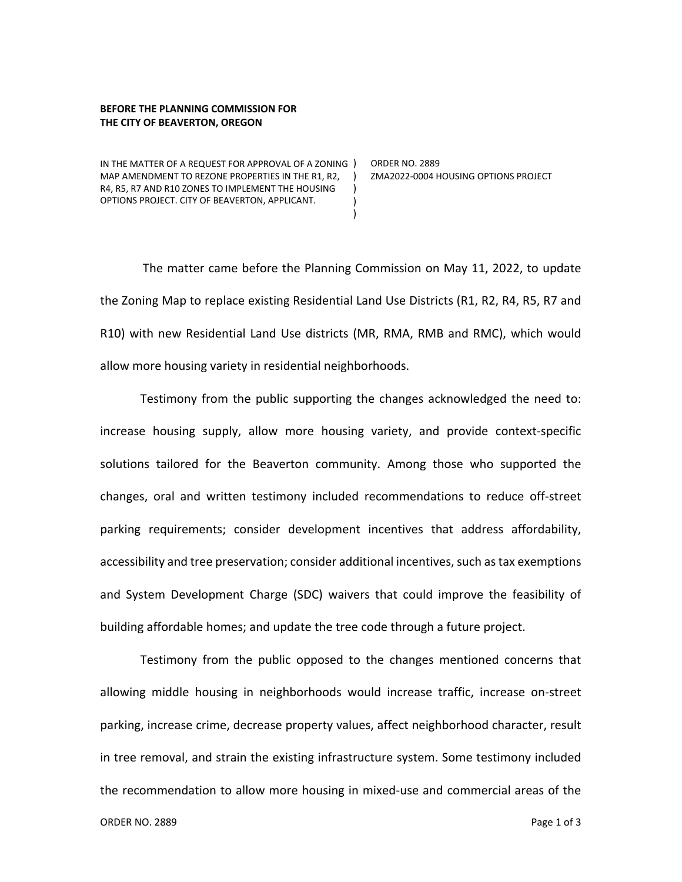## **BEFORE THE PLANNING COMMISSION FOR THE CITY OF BEAVERTON, OREGON**

IN THE MATTER OF A REQUEST FOR APPROVAL OF A ZONING ) ORDER NO. 2889 MAP AMENDMENT TO REZONE PROPERTIES IN THE R1, R2, ) R4, R5, R7 AND R10 ZONES TO IMPLEMENT THE HOUSING OPTIONS PROJECT. CITY OF BEAVERTON, APPLICANT.

ZMA2022-0004 HOUSING OPTIONS PROJECT

The matter came before the Planning Commission on May 11, 2022, to update the Zoning Map to replace existing Residential Land Use Districts (R1, R2, R4, R5, R7 and R10) with new Residential Land Use districts (MR, RMA, RMB and RMC), which would allow more housing variety in residential neighborhoods.

 $\lambda$ ) )

Testimony from the public supporting the changes acknowledged the need to: increase housing supply, allow more housing variety, and provide context-specific solutions tailored for the Beaverton community. Among those who supported the changes, oral and written testimony included recommendations to reduce off-street parking requirements; consider development incentives that address affordability, accessibility and tree preservation; consider additional incentives, such as tax exemptions and System Development Charge (SDC) waivers that could improve the feasibility of building affordable homes; and update the tree code through a future project.

Testimony from the public opposed to the changes mentioned concerns that allowing middle housing in neighborhoods would increase traffic, increase on-street parking, increase crime, decrease property values, affect neighborhood character, result in tree removal, and strain the existing infrastructure system. Some testimony included the recommendation to allow more housing in mixed-use and commercial areas of the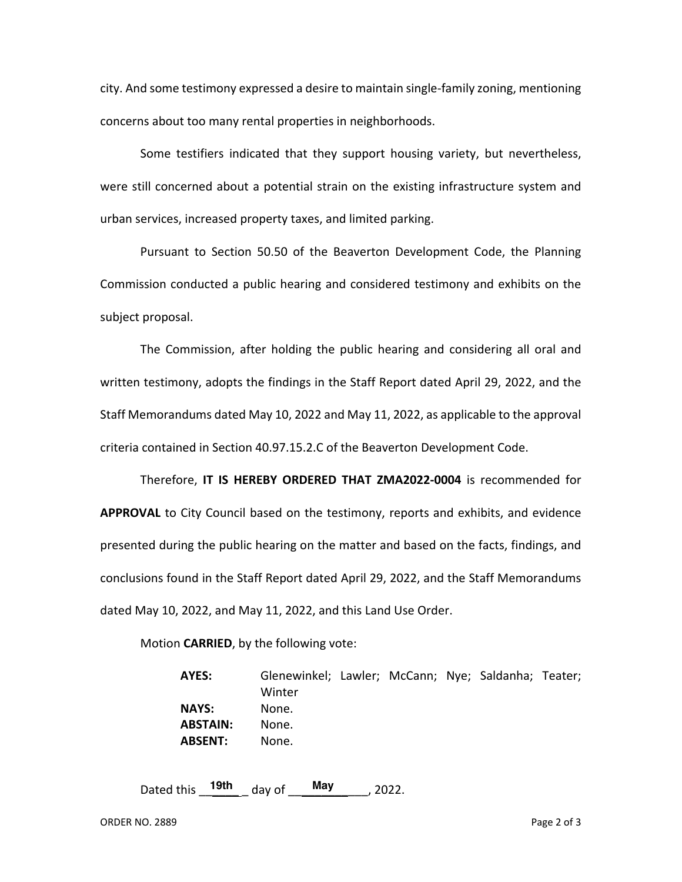city. And some testimony expressed a desire to maintain single-family zoning, mentioning concerns about too many rental properties in neighborhoods.

Some testifiers indicated that they support housing variety, but nevertheless, were still concerned about a potential strain on the existing infrastructure system and urban services, increased property taxes, and limited parking.

Pursuant to Section 50.50 of the Beaverton Development Code, the Planning Commission conducted a public hearing and considered testimony and exhibits on the subject proposal.

The Commission, after holding the public hearing and considering all oral and written testimony, adopts the findings in the Staff Report dated April 29, 2022, and the Staff Memorandums dated May 10, 2022 and May 11, 2022, as applicable to the approval criteria contained in Section 40.97.15.2.C of the Beaverton Development Code.

Therefore, **IT IS HEREBY ORDERED THAT ZMA2022-0004** is recommended for **APPROVAL** to City Council based on the testimony, reports and exhibits, and evidence presented during the public hearing on the matter and based on the facts, findings, and conclusions found in the Staff Report dated April 29, 2022, and the Staff Memorandums dated May 10, 2022, and May 11, 2022, and this Land Use Order.

Motion **CARRIED**, by the following vote:

**AYES:** Glenewinkel; Lawler; McCann; Nye; Saldanha; Teater; Winter **NAYS:** None. **ABSTAIN:** None. **ABSENT:** None.

Dated this  $19th$  day of May , 2022.